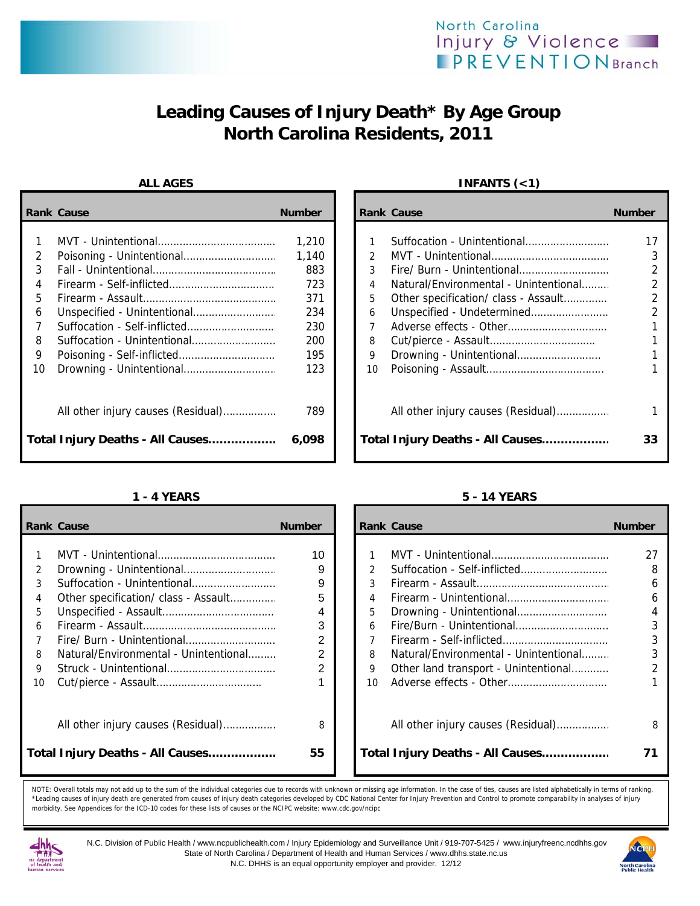# **Leading Causes of Injury Death\* By Age Group North Carolina Residents, 2011**

|    | <b>Rank Cause</b>                  | <b>Number</b> |    | <b>Rank Cause</b>                     | <b>Number</b>  |
|----|------------------------------------|---------------|----|---------------------------------------|----------------|
|    |                                    | 1,210         |    |                                       | 17             |
| 2  |                                    | 1,140         |    |                                       | 3              |
| 3  |                                    | 883           | 3  | Fire/ Burn - Unintentional            | $\overline{2}$ |
| 4  |                                    | 723           | 4  | Natural/Environmental - Unintentional | 2              |
| 5  |                                    | 371           | 5  | Other specification/ class - Assault  | $\overline{2}$ |
| 6  |                                    | 234           | 6  | Unspecified - Undetermined            | $\overline{2}$ |
|    |                                    | 230           |    |                                       |                |
| 8  |                                    | 200           | 8  |                                       |                |
| 9  |                                    | 195           | 9  |                                       |                |
| 10 |                                    | 123           | 10 |                                       |                |
|    | All other injury causes (Residual) | 789           |    | All other injury causes (Residual)    |                |
|    | Total Injury Deaths - All Causes   | 6,098         |    | Total Injury Deaths - All Causes      | 33             |

|    | <b>Rank Cause</b>                     | <b>Number</b> |    | <b>Rank Cause</b>                     | <b>Number</b> |
|----|---------------------------------------|---------------|----|---------------------------------------|---------------|
|    |                                       |               |    |                                       |               |
|    |                                       | 10            |    |                                       | 27            |
| 2  |                                       | 9             | 2  |                                       | 8             |
| 3  | Suffocation - Unintentional           | 9             | 3  |                                       | 6             |
| 4  |                                       | 5             | 4  |                                       | 6             |
| 5  |                                       | 4             | 5  |                                       | 4             |
| 6  |                                       | 3             | 6  |                                       | 3             |
|    |                                       | 2             |    |                                       | 3             |
| 8  | Natural/Environmental - Unintentional | 2             | 8  | Natural/Environmental - Unintentional | 3             |
| 9  |                                       | 2             | 9  | Other land transport - Unintentional  |               |
| 10 |                                       |               | 10 |                                       |               |
|    | All other injury causes (Residual)    | 8             |    | All other injury causes (Residual)    | 8             |
|    | Total Injury Deaths - All Causes      | 55            |    | Total Injury Deaths - All Causes      | 71            |

## ALL AGES **INFANTS** (<1)

| Cause                              | <b>Number</b> |               | <b>Rank Cause</b>                     | <b>Number</b> |
|------------------------------------|---------------|---------------|---------------------------------------|---------------|
|                                    |               |               |                                       |               |
|                                    | 1,210         |               | Suffocation - Unintentional           |               |
|                                    | 1.140         | $\mathcal{P}$ |                                       |               |
|                                    | 883           | 3             |                                       |               |
|                                    | 723           | 4             | Natural/Environmental - Unintentional |               |
|                                    | 371           | 5             | Other specification/ class - Assault  |               |
| Unspecified - Unintentional        | 234           | 6             | Unspecified - Undetermined            |               |
| Suffocation - Self-inflicted       | 230           | 7             |                                       |               |
| Suffocation - Unintentional        | 200           | 8             |                                       |               |
| Poisoning - Self-inflicted         | 195           | 9             |                                       |               |
|                                    | 123           | 10            |                                       |               |
| All other injury causes (Residual) | 789           |               | All other injury causes (Residual)    |               |
| Injury Deaths - All Causes         | 6,098         |               | Total Injury Deaths - All Causes      | 33            |

### **1 - 4 YEARS 5 - 14 YEARS**

|    | ank Cause                             | <b>Number</b> |                 | <b>Rank Cause</b>                     | <b>Number</b>  |
|----|---------------------------------------|---------------|-----------------|---------------------------------------|----------------|
|    |                                       |               |                 |                                       |                |
| 1  |                                       | 10            |                 |                                       | 27             |
| 2  |                                       | 9             | $\mathcal{P}$   |                                       | 8              |
| 3  |                                       | 9             | 3               |                                       | 6              |
| 4  |                                       | 5             | $\overline{4}$  |                                       | 6              |
| 5  |                                       | 4             | 5.              |                                       | 4              |
| 6  |                                       | 3             | 6               |                                       | 3              |
| 7  |                                       | 2             |                 |                                       | 3              |
| 8  | Natural/Environmental - Unintentional | 2             | 8               | Natural/Environmental - Unintentional | 3              |
| 9  |                                       | 2             | 9               | Other land transport - Unintentional  | $\mathfrak{p}$ |
| 10 |                                       |               | 10 <sup>1</sup> |                                       |                |
|    |                                       |               |                 |                                       |                |
|    | All other injury causes (Residual)    | 8             |                 | All other injury causes (Residual)    | 8              |
|    | otal Injury Deaths - All Causes       | 55            |                 | Total Injury Deaths - All Causes      |                |
|    |                                       |               |                 |                                       |                |

NOTE: Overall totals may not add up to the sum of the individual categories due to records with unknown or missing age information. In the case of ties, causes are listed alphabetically in terms of ranking. \*Leading causes of injury death are generated from causes of injury death categories developed by CDC National Center for Injury Prevention and Control to promote comparability in analyses of injury morbidity. See Appendices for the ICD-10 codes for these lists of causes or the NCIPC website: www.cdc.gov/ncipc



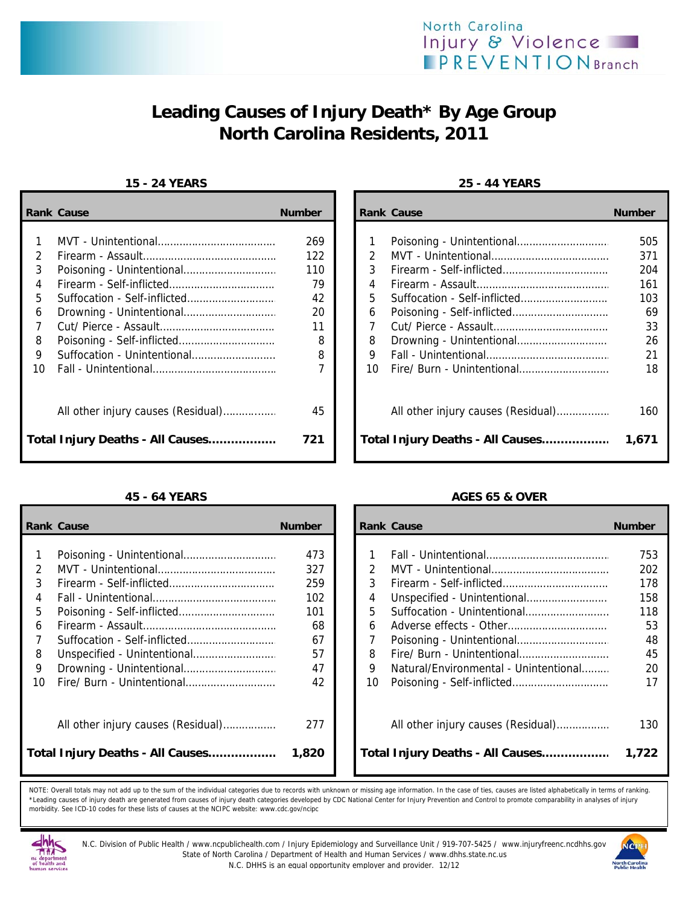

# **Leading Causes of Injury Death\* By Age Group North Carolina Residents, 2011**

## **15 - 24 YEARS 25 - 44 YEARS**

|    | <b>Rank Cause</b>                | <b>Number</b> |    | <b>Rank Cause</b>                  | <b>Number</b> |
|----|----------------------------------|---------------|----|------------------------------------|---------------|
|    |                                  | 269           |    |                                    | 505           |
|    |                                  | 122           |    |                                    | 371           |
| 3  |                                  | 110           | 3  |                                    | 204           |
| 4  |                                  | 79            | 4  |                                    | 161           |
| 5. |                                  | 42            | 5. |                                    | 103           |
| 6  |                                  | 20            | 6  |                                    | 69            |
|    |                                  | 11            |    |                                    | 33            |
| 8  |                                  | 8             | 8  |                                    | 26            |
| 9  | Suffocation - Unintentional      | 8             | 9  |                                    | 21            |
| 10 |                                  |               | 10 |                                    | 18            |
|    |                                  | 45            |    | All other injury causes (Residual) | 160           |
|    | Total Injury Deaths - All Causes | 721           |    | Total Injury Deaths - All Causes   | 1,671         |

|    | <b>Rank Cause</b>                  | <b>Number</b> |    | <b>Rank Cause</b>                     | <b>Number</b> |
|----|------------------------------------|---------------|----|---------------------------------------|---------------|
|    |                                    |               |    |                                       |               |
|    |                                    | 473           |    |                                       | 753           |
|    |                                    | 327           | 2  |                                       | 202           |
|    |                                    | 259           | 3  |                                       | 178           |
|    |                                    | 102           | 4  |                                       | 158           |
| 5. |                                    | 101           | 5  |                                       | 118           |
| 6  |                                    | 68            | 6  |                                       | 53            |
|    |                                    | 67            |    |                                       | 48            |
| 8  |                                    | 57            | 8  |                                       | 45            |
| 9  |                                    | 47            | 9  | Natural/Environmental - Unintentional | 20            |
| 10 |                                    | 42            | 10 |                                       | 17            |
|    | All other injury causes (Residual) | 277           |    | All other injury causes (Residual)    | 130           |
|    | Total Injury Deaths - All Causes   | 1,820         |    | Total Injury Deaths - All Causes      | 1,722         |

| Cause                              | <b>Number</b> |               | <b>Rank Cause</b>                  | <b>Number</b> |
|------------------------------------|---------------|---------------|------------------------------------|---------------|
|                                    |               |               |                                    |               |
|                                    | 269           |               |                                    | 505           |
|                                    | 122           | $\mathcal{P}$ |                                    | 371           |
| Poisoning - Unintentional          | 110           | 3             |                                    | 204           |
|                                    | 79            | 4             |                                    | 161           |
| Suffocation - Self-inflicted       | 42            | 5.            |                                    | 103           |
|                                    | 20            | 6             |                                    | 69            |
|                                    | 11            |               |                                    | 33            |
| Poisoning - Self-inflicted         | 8             | 8             |                                    | 26            |
| Suffocation - Unintentional        | 8             | 9             |                                    | 21            |
|                                    |               | 10            |                                    | 18            |
| All other injury causes (Residual) | 45            |               | All other injury causes (Residual) | 160           |
| Injury Deaths - All Causes         | 721           |               | Total Injury Deaths - All Causes   | 1,671         |

## **45 - 64 YEARS AGES 65 & OVER**

| Cause                              | <b>Number</b> |               | <b>Rank Cause</b>                     | <b>Number</b> |
|------------------------------------|---------------|---------------|---------------------------------------|---------------|
| Poisoning - Unintentional          | 473           |               |                                       | 753           |
|                                    | 327           | $\mathcal{P}$ |                                       | 202           |
|                                    |               |               |                                       |               |
| Firearm - Self-inflicted           | 259           | 3             |                                       | 178           |
|                                    | 102           | 4             |                                       | 158           |
| Poisoning - Self-inflicted         | 101           | 5             |                                       | 118           |
|                                    | 68            | 6             |                                       | 53            |
| Suffocation - Self-inflicted       | 67            | 7             |                                       | 48            |
| Unspecified - Unintentional        | 57            | 8             |                                       | 45            |
| Drowning - Unintentional           | 47            | 9             | Natural/Environmental - Unintentional | 20            |
| Fire/ Burn - Unintentional         | 42            | 10            |                                       | 17            |
| All other injury causes (Residual) | 277           |               | All other injury causes (Residual)    | 130           |
| Injury Deaths - All Causes         | 1,820         |               | Total Injury Deaths - All Causes      | 1,722         |

NOTE: Overall totals may not add up to the sum of the individual categories due to records with unknown or missing age information. In the case of ties, causes are listed alphabetically in terms of ranking. \*Leading causes of injury death are generated from causes of injury death categories developed by CDC National Center for Injury Prevention and Control to promote comparability in analyses of injury morbidity. See ICD-10 codes for these lists of causes at the NCIPC website: www.cdc.gov/ncipc



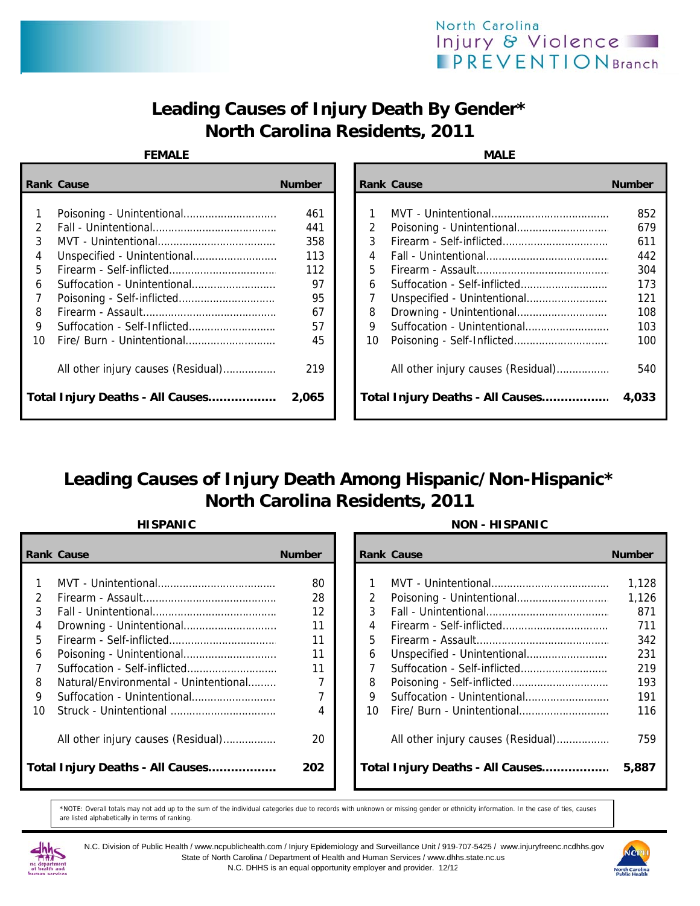## North Carolina Injury & Violence **IPREVENTIONBranch**

# **Leading Causes of Injury Death By Gender\* North Carolina Residents, 2011**

## **FEMALE**

| MА |  |  |
|----|--|--|

|               | <b>Rank Cause</b>                  | <b>Number</b> |    | <b>Rank Cause</b>                  | <b>Number</b> |
|---------------|------------------------------------|---------------|----|------------------------------------|---------------|
|               |                                    |               |    |                                    |               |
|               |                                    | 461           |    |                                    | 852           |
| $\mathcal{L}$ |                                    | 441           | 2  |                                    | 679           |
| 3             |                                    | 358           | 3  |                                    | 611           |
| 4             |                                    | 113           | 4  |                                    | 442           |
| 5.            |                                    | 112           | 5  |                                    | 304           |
| 6             |                                    | 97            | 6  |                                    | 173           |
|               |                                    | 95            |    |                                    | 121           |
| 8             |                                    | 67            | 8  |                                    | 108           |
| 9             | Suffocation - Self-Inflicted       | 57            | 9  |                                    | 103           |
| 10            |                                    | 45            | 10 |                                    | 100           |
|               | All other injury causes (Residual) | 219           |    | All other injury causes (Residual) | 540           |
|               | Total Injury Deaths - All Causes   | 2,065         |    | Total Injury Deaths - All Causes   | 4,033         |

| Cause                              | <b>Number</b> |    | <b>Rank Cause</b>                  | <b>Number</b> |
|------------------------------------|---------------|----|------------------------------------|---------------|
|                                    |               |    |                                    |               |
| Poisoning - Unintentional          | 461           |    |                                    | 852           |
|                                    | 441           |    |                                    | 679           |
|                                    | 358           | 3  |                                    | 611           |
| Unspecified - Unintentional        | 113           | 4  |                                    | 442           |
|                                    | 112           | 5  |                                    | 304           |
| Suffocation - Unintentional        | 97            | 6  |                                    | 173           |
|                                    | 95            |    |                                    | 121           |
|                                    | 67            | 8  |                                    | 108           |
| Suffocation - Self-Inflicted       | 57            | 9  |                                    | 103           |
| Fire/ Burn - Unintentional         | 45            | 10 |                                    | 100           |
|                                    |               |    |                                    |               |
| All other injury causes (Residual) | 219           |    | All other injury causes (Residual) | 540           |
|                                    |               |    |                                    |               |
| Injury Deaths - All Causes         | 2,065         |    | Total Injury Deaths - All Causes   | 4,033         |

# **Leading Causes of Injury Death Among Hispanic/Non-Hispanic\* North Carolina Residents, 2011**

|    | <b>Rank Cause</b>                     | <b>Number</b> |     | <b>Rank Cause</b>                  | <b>Number</b> |
|----|---------------------------------------|---------------|-----|------------------------------------|---------------|
|    |                                       |               |     |                                    |               |
|    |                                       | 80            |     |                                    | 1,128         |
|    |                                       | 28            |     |                                    | 1,126         |
|    |                                       | 12            |     |                                    | 871           |
|    |                                       | 11            | 4   |                                    | 711           |
| 5. |                                       | 11            | 5.  |                                    | 342           |
| 6  |                                       | 11            | 6   |                                    | 231           |
|    |                                       | 11            |     |                                    | 219           |
| 8  | Natural/Environmental - Unintentional |               | 8   |                                    | 193           |
| 9  |                                       |               | 9   |                                    | 191           |
| 10 |                                       | 4             | 10. |                                    | 116           |
|    | All other injury causes (Residual)    | 20            |     | All other injury causes (Residual) | 759           |
|    | Total Injury Deaths - All Causes      | 202           |     | Total Injury Deaths - All Causes   | 5,887         |

## **HISPANIC NON - HISPANIC**

|                                 | ank Cause                             | <b>Number</b> |               | <b>Rank Cause</b>                  | <b>Number</b> |
|---------------------------------|---------------------------------------|---------------|---------------|------------------------------------|---------------|
|                                 |                                       |               |               |                                    |               |
| 1                               |                                       | 80            |               |                                    | 1,128         |
| 2                               |                                       | 28            | $\mathcal{P}$ |                                    | 1,126         |
| 3                               |                                       | 12            | 3             |                                    | 871           |
| 4                               |                                       | 11            | 4             |                                    | 711           |
| 5.                              |                                       | 11            | 5             |                                    | 342           |
| 6                               |                                       | 11            | 6             |                                    | 231           |
| $\overline{7}$                  |                                       | 11            |               |                                    | 219           |
| 8                               | Natural/Environmental - Unintentional |               | 8             |                                    | 193           |
| 9.                              |                                       |               | 9             |                                    | 191           |
| ۱n                              |                                       | 4             | 10            |                                    | 116           |
|                                 |                                       |               |               |                                    |               |
|                                 | All other injury causes (Residual)    | 20            |               | All other injury causes (Residual) | 759           |
|                                 |                                       |               |               |                                    |               |
| otal Injury Deaths - All Causes |                                       | 202           |               | Total Injury Deaths - All Causes   | 5,887         |
|                                 |                                       |               |               |                                    |               |

\*NOTE: Overall totals may not add up to the sum of the individual categories due to records with unknown or missing gender or ethnicity information. In the case of ties, causes are listed alphabetically in terms of ranking.